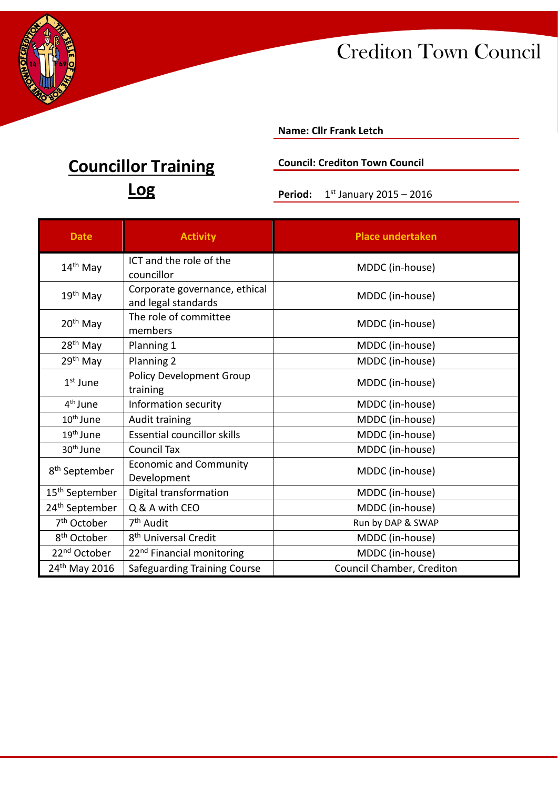

### **Name: Cllr Frank Letch**

### **Council: Crediton Town Council**

**Period:** 1<sup>st</sup> January 2015 – 2016

| <b>Date</b>                | <b>Activity</b>                                      | <b>Place undertaken</b>   |
|----------------------------|------------------------------------------------------|---------------------------|
| $14th$ May                 | ICT and the role of the<br>councillor                | MDDC (in-house)           |
| $19th$ May                 | Corporate governance, ethical<br>and legal standards | MDDC (in-house)           |
| $20th$ May                 | The role of committee<br>members                     | MDDC (in-house)           |
| 28 <sup>th</sup> May       | Planning 1                                           | MDDC (in-house)           |
| 29th May                   | Planning 2                                           | MDDC (in-house)           |
| $1st$ June                 | <b>Policy Development Group</b><br>training          | MDDC (in-house)           |
| 4 <sup>th</sup> June       | Information security                                 | MDDC (in-house)           |
| $10th$ June                | Audit training                                       | MDDC (in-house)           |
| $19th$ June                | <b>Essential councillor skills</b>                   | MDDC (in-house)           |
| 30 <sup>th</sup> June      | Council Tax                                          | MDDC (in-house)           |
| 8 <sup>th</sup> September  | <b>Economic and Community</b><br>Development         | MDDC (in-house)           |
| 15 <sup>th</sup> September | Digital transformation                               | MDDC (in-house)           |
| 24 <sup>th</sup> September | Q & A with CEO                                       | MDDC (in-house)           |
| 7 <sup>th</sup> October    | 7 <sup>th</sup> Audit                                | Run by DAP & SWAP         |
| 8 <sup>th</sup> October    | 8 <sup>th</sup> Universal Credit                     | MDDC (in-house)           |
| 22 <sup>nd</sup> October   | 22 <sup>nd</sup> Financial monitoring                | MDDC (in-house)           |
| 24 <sup>th</sup> May 2016  | Safeguarding Training Course                         | Council Chamber, Crediton |

# **Councillor Training**

**Log**